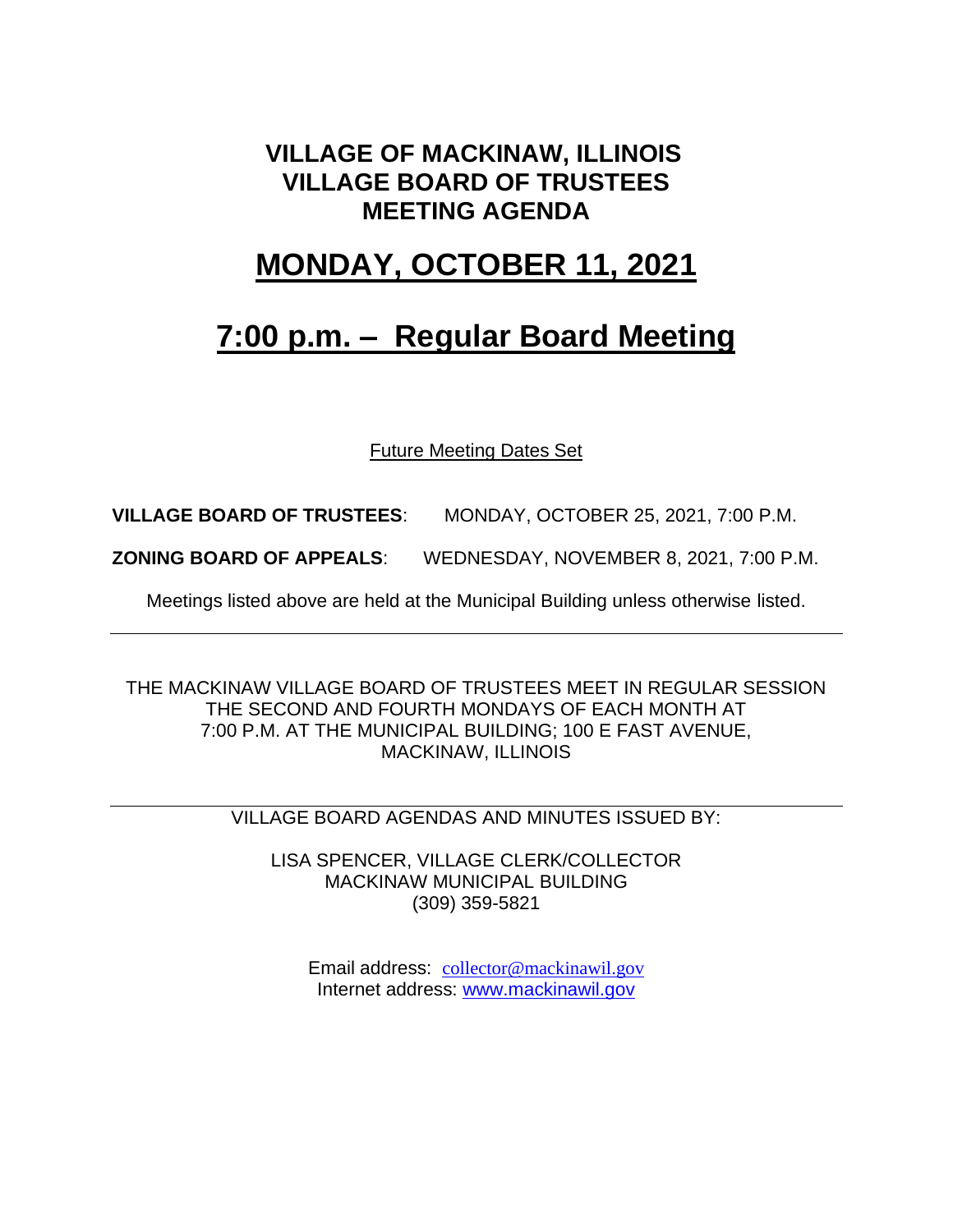#### **VILLAGE OF MACKINAW, ILLINOIS VILLAGE BOARD OF TRUSTEES MEETING AGENDA**

### **MONDAY, OCTOBER 11, 2021**

## **7:00 p.m. – Regular Board Meeting**

Future Meeting Dates Set

**VILLAGE BOARD OF TRUSTEES**: MONDAY, OCTOBER 25, 2021, 7:00 P.M.

**ZONING BOARD OF APPEALS**: WEDNESDAY, NOVEMBER 8, 2021, 7:00 P.M.

Meetings listed above are held at the Municipal Building unless otherwise listed.

THE MACKINAW VILLAGE BOARD OF TRUSTEES MEET IN REGULAR SESSION THE SECOND AND FOURTH MONDAYS OF EACH MONTH AT 7:00 P.M. AT THE MUNICIPAL BUILDING; 100 E FAST AVENUE, MACKINAW, ILLINOIS

VILLAGE BOARD AGENDAS AND MINUTES ISSUED BY:

LISA SPENCER, VILLAGE CLERK/COLLECTOR MACKINAW MUNICIPAL BUILDING (309) 359-5821

Email address: [collector@mackinawil.gov](mailto:collector@mackinawil.gov) Internet address: [www.mackinawil.gov](http://www.mackinawil.gov/)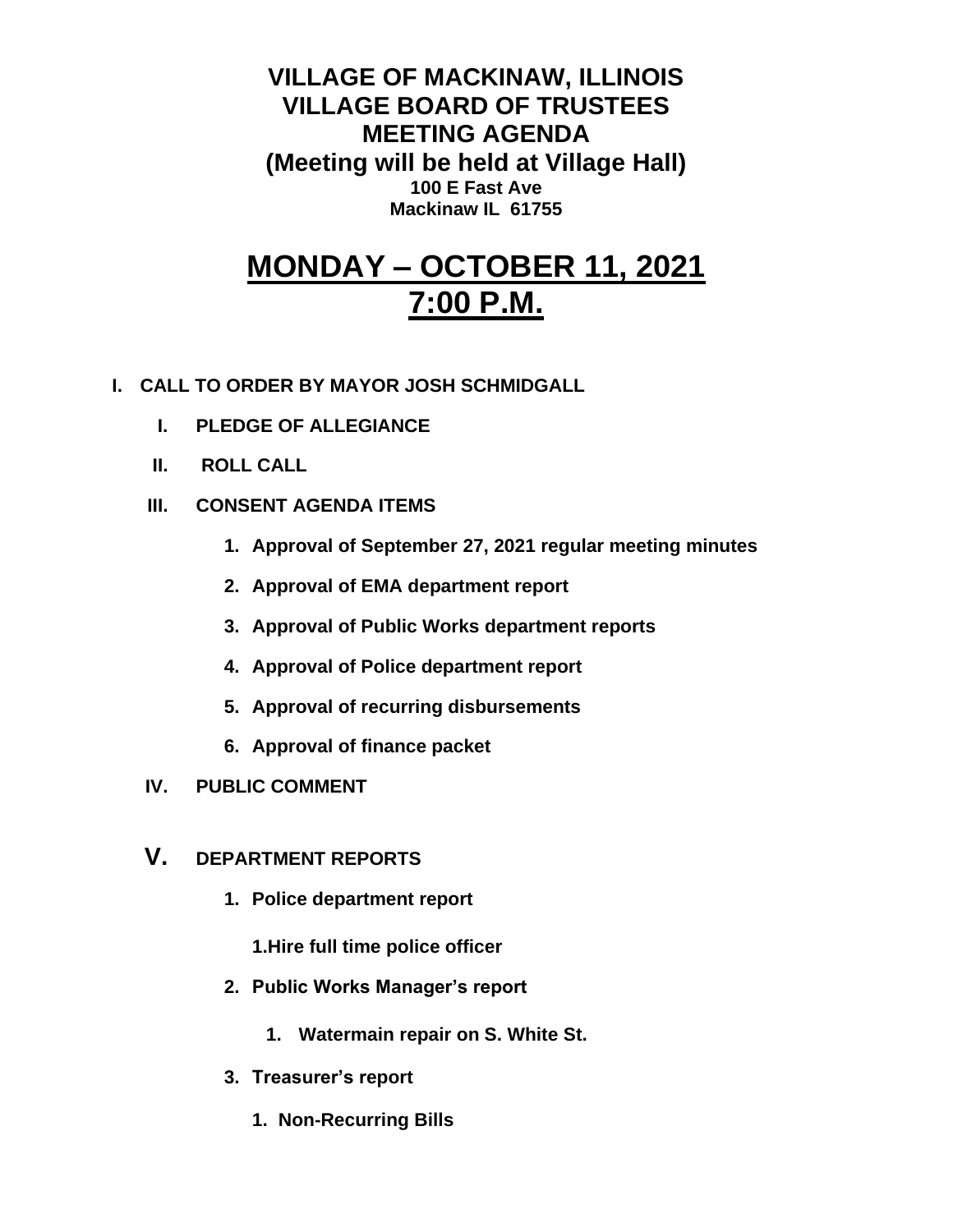**VILLAGE OF MACKINAW, ILLINOIS VILLAGE BOARD OF TRUSTEES MEETING AGENDA (Meeting will be held at Village Hall) 100 E Fast Ave Mackinaw IL 61755**

# **MONDAY – OCTOBER 11, 2021 7:00 P.M.**

- **I. CALL TO ORDER BY MAYOR JOSH SCHMIDGALL**
	- **I. PLEDGE OF ALLEGIANCE**
	- **II. ROLL CALL**
	- **III. CONSENT AGENDA ITEMS** 
		- **1. Approval of September 27, 2021 regular meeting minutes**
		- **2. Approval of EMA department report**
		- **3. Approval of Public Works department reports**
		- **4. Approval of Police department report**
		- **5. Approval of recurring disbursements**
		- **6. Approval of finance packet**
	- **IV. PUBLIC COMMENT**
	- **V. DEPARTMENT REPORTS** 
		- **1. Police department report**
			- **1.Hire full time police officer**
		- **2. Public Works Manager's report**
			- **1. Watermain repair on S. White St.**
		- **3. Treasurer's report** 
			- **1. Non-Recurring Bills**